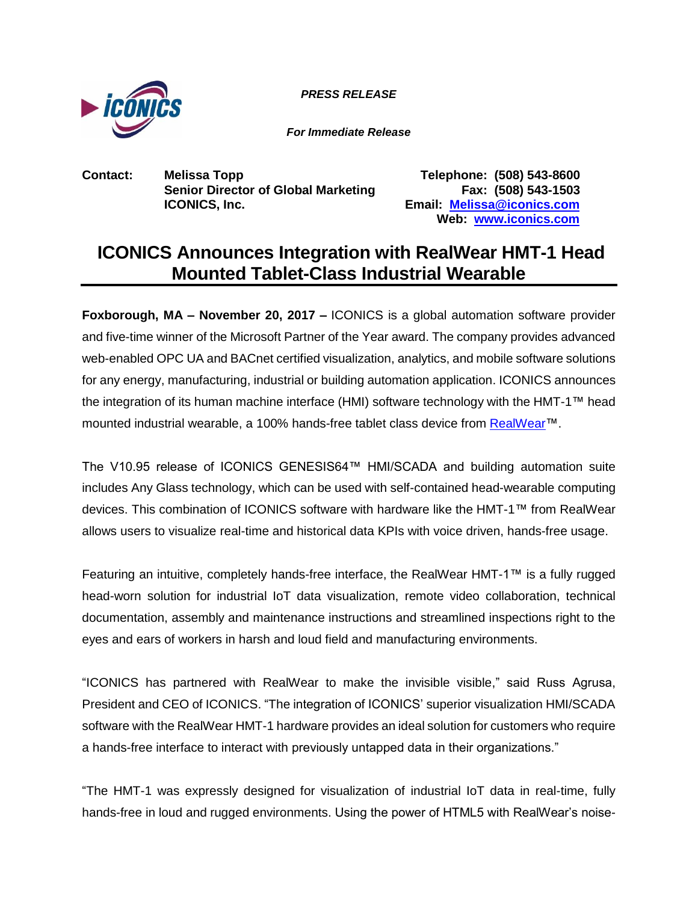

*PRESS RELEASE*

*For Immediate Release*

**Contact: Melissa Topp Telephone: (508) 543-8600 Senior Director of Global Marketing Fax: (508) 543-1503 ICONICS, Inc. Email: [Melissa@iconics.com](mailto:Melissa@iconics.com)**

**Web: [www.iconics.com](http://www.iconics.com/)**

## **ICONICS Announces Integration with RealWear HMT-1 Head Mounted Tablet-Class Industrial Wearable**

**Foxborough, MA – November 20, 2017 –** ICONICS is a global automation software provider and five-time winner of the Microsoft Partner of the Year award. The company provides advanced web-enabled OPC UA and BACnet certified visualization, analytics, and mobile software solutions for any energy, manufacturing, industrial or building automation application. ICONICS announces the integration of its human machine interface (HMI) software technology with the HMT-1™ head mounted industrial wearable, a 100% hands-free tablet class device from [RealWear™](https://www.realwear.com/).

The V10.95 release of ICONICS GENESIS64™ HMI/SCADA and building automation suite includes Any Glass technology, which can be used with self-contained head-wearable computing devices. This combination of ICONICS software with hardware like the HMT-1™ from RealWear allows users to visualize real-time and historical data KPIs with voice driven, hands-free usage.

Featuring an intuitive, completely hands-free interface, the RealWear HMT-1™ is a fully rugged head-worn solution for industrial IoT data visualization, remote video collaboration, technical documentation, assembly and maintenance instructions and streamlined inspections right to the eyes and ears of workers in harsh and loud field and manufacturing environments.

"ICONICS has partnered with RealWear to make the invisible visible," said Russ Agrusa, President and CEO of ICONICS. "The integration of ICONICS' superior visualization HMI/SCADA software with the RealWear HMT-1 hardware provides an ideal solution for customers who require a hands-free interface to interact with previously untapped data in their organizations."

"The HMT-1 was expressly designed for visualization of industrial IoT data in real-time, fully hands-free in loud and rugged environments. Using the power of HTML5 with RealWear's noise